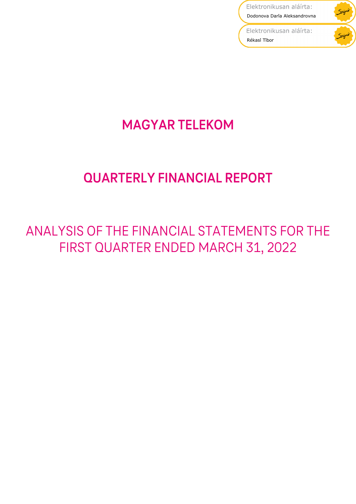Elektronikusan aláírta: Dodonova Daria Aleksandrovna

Spigw

Elektronikusan aláírta: Rékasi Tibor

# **MAGYAR TELEKOM**

# **QUARTERLY FINANCIAL REPORT**

# ANALYSIS OF THE FINANCIAL STATEMENTS FOR THE FIRST QUARTER ENDED MARCH 31, 2022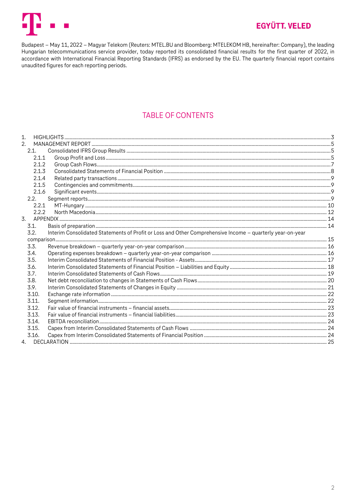

# **EGYÜTT, VELED**

Budapest – May 11, 2022 – Magyar Telekom (Reuters: MTEL.BU and Bloomberg: MTELEKOM HB, hereinafter: Company), the leading Hungarian telecommunications service provider, today reported its consolidated financial results for the first quarter of 2022, in accordance with International Financial Reporting Standards (IFRS) as endorsed by the EU. The quarterly financial report contains unaudited figures for each reporting periods.

# **TABLE OF CONTENTS**

| 1 <sub>1</sub>                                                                                                    |  |
|-------------------------------------------------------------------------------------------------------------------|--|
| 2.                                                                                                                |  |
| 2.1.                                                                                                              |  |
| 2.1.1                                                                                                             |  |
| 2.1.2                                                                                                             |  |
| 2.1.3                                                                                                             |  |
| 2.1.4                                                                                                             |  |
| 2.1.5                                                                                                             |  |
| 2.1.6                                                                                                             |  |
| 2.2.                                                                                                              |  |
| 2.2.1                                                                                                             |  |
| 2.2.2                                                                                                             |  |
| 3.                                                                                                                |  |
| 3.1.                                                                                                              |  |
| Interim Consolidated Statements of Profit or Loss and Other Comprehensive Income - quarterly year-on-year<br>3.2. |  |
|                                                                                                                   |  |
| 3.3.                                                                                                              |  |
| 3.4.                                                                                                              |  |
| 3.5.                                                                                                              |  |
| 3.6.                                                                                                              |  |
| 3.7.                                                                                                              |  |
| 3.8.                                                                                                              |  |
| 3.9.                                                                                                              |  |
| 3.10.                                                                                                             |  |
| 3.11.                                                                                                             |  |
| 3.12.                                                                                                             |  |
| 3.13.                                                                                                             |  |
| 3.14.                                                                                                             |  |
| 3.15.                                                                                                             |  |
| 3.16.                                                                                                             |  |
|                                                                                                                   |  |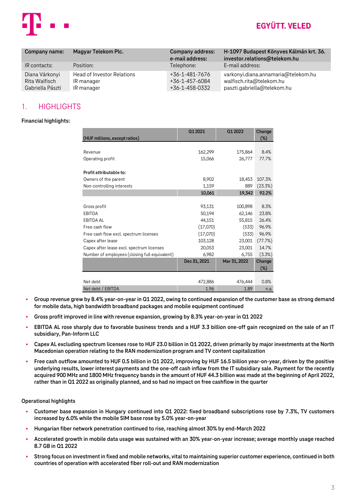

| Company name:                                       | Magyar Telekom Plc.                                           | <b>Company address:</b><br>e-mail address:         | H-1097 Budapest Könyves Kálmán krt. 36.<br>investor.relations@telekom.hu                       |
|-----------------------------------------------------|---------------------------------------------------------------|----------------------------------------------------|------------------------------------------------------------------------------------------------|
| IR contacts:                                        | Position:                                                     | Telephone:                                         | E-mail address:                                                                                |
| Diana Várkonyi<br>Rita Walfisch<br>Gabriella Pászti | <b>Head of Investor Relations</b><br>IR manager<br>IR manager | +36-1-481-7676<br>+36-1-457-6084<br>+36-1-458-0332 | varkonyi.diana.annamaria@telekom.hu<br>walfisch.rita@telekom.hu<br>paszti.gabriella@telekom.hu |

# <span id="page-2-0"></span>1. HIGHLIGHTS

### **Financial highlights:**

| (HUF millions, except ratios)                                                                                                                                                                                                                                                                                                                                                                                         | 01 20 21     | Q1 2022      | Change<br>(%) |
|-----------------------------------------------------------------------------------------------------------------------------------------------------------------------------------------------------------------------------------------------------------------------------------------------------------------------------------------------------------------------------------------------------------------------|--------------|--------------|---------------|
| Revenue                                                                                                                                                                                                                                                                                                                                                                                                               | 162,299      |              |               |
|                                                                                                                                                                                                                                                                                                                                                                                                                       |              | 175,864      | 8.4%<br>77.7% |
| Operating profit                                                                                                                                                                                                                                                                                                                                                                                                      | 15,066       | 26,777       |               |
| Profit attributable to:                                                                                                                                                                                                                                                                                                                                                                                               |              |              |               |
| Owners of the parent                                                                                                                                                                                                                                                                                                                                                                                                  | 8,902        | 18,453       | 107.3%        |
| Non-controlling interests                                                                                                                                                                                                                                                                                                                                                                                             | 1,159        | 889          | (23.3%)       |
|                                                                                                                                                                                                                                                                                                                                                                                                                       | 10,061       | 19,342       | 92.2%         |
| Gross profit                                                                                                                                                                                                                                                                                                                                                                                                          | 93,131       | 100,898      | 8.3%          |
| EBITDA                                                                                                                                                                                                                                                                                                                                                                                                                | 50,194       | 62,146       | 23.8%         |
| EBITDA AL                                                                                                                                                                                                                                                                                                                                                                                                             | 44,151       | 55,815       | 26.4%         |
| Free cash flow                                                                                                                                                                                                                                                                                                                                                                                                        | (17,070)     | (533)        | 96.9%         |
| Free cash flow excl. spectrum licenses                                                                                                                                                                                                                                                                                                                                                                                | (17,070)     | (533)        | 96.9%         |
|                                                                                                                                                                                                                                                                                                                                                                                                                       |              |              |               |
| Capex after lease                                                                                                                                                                                                                                                                                                                                                                                                     | 103,128      | 23,001       | (77.7%)       |
| Capex after lease excl. spectrum licenses                                                                                                                                                                                                                                                                                                                                                                             | 20,053       | 23,001       | 14.7%         |
| Number of employees (closing full equivalent)                                                                                                                                                                                                                                                                                                                                                                         | 6,982        | 6,755        | (3.3%)        |
|                                                                                                                                                                                                                                                                                                                                                                                                                       | Dec 31, 2021 | Mar 31, 2022 | Change<br>(%) |
|                                                                                                                                                                                                                                                                                                                                                                                                                       |              |              |               |
| Net debt                                                                                                                                                                                                                                                                                                                                                                                                              | 472,886      | 476,444      | 0.8%          |
| Net debt / EBITDA                                                                                                                                                                                                                                                                                                                                                                                                     | 1.96         | 1.89         | n.a.          |
| Group revenue grew by 8.4% year-on-year in Q1 2022, owing to continued expansion of the custome<br>for mobile data, high bandwidth broadband packages and mobile equipment continued<br>Gross profit improved in line with revenue expansion, growing by 8.3% year-on-year in Q1 2022                                                                                                                                 |              |              |               |
| EBITDA AL rose sharply due to favorable business trends and a HUF 3.3 billion one-off gain recogn<br>subsidiary, Pan-Inform LLC                                                                                                                                                                                                                                                                                       |              |              |               |
| Capex AL excluding spectrum licenses rose to HUF 23.0 billion in Q1 2022, driven primarily by major i<br>Macedonian operation relating to the RAN modernization program and TV content capitalization                                                                                                                                                                                                                 |              |              |               |
| Free cash outflow amounted to HUF 0.5 billion in Q1 2022, improving by HUF 16.5 billion year-on-ye<br>underlying results, lower interest payments and the one-off cash inflow from the IT subsidiary sale. I<br>acquired 900 MHz and 1800 MHz frequency bands in the amount of HUF 44.3 billion was made at the<br>rather than in Q1 2022 as originally planned, and so had no impact on free cashflow in the quarter |              |              |               |
| ational highlights                                                                                                                                                                                                                                                                                                                                                                                                    |              |              |               |
| Customer base expansion in Hungary continued into Q1 2022: fixed broadband subscriptions rose<br>increased by 6.0% while the mobile SIM base rose by 5.0% year-on-year                                                                                                                                                                                                                                                |              |              |               |
| Hungarian fiber network penetration continued to rise, reaching almost 30% by end-March 2022                                                                                                                                                                                                                                                                                                                          |              |              |               |
| Accelerated growth in mobile data usage was sustained with an 30% year-on-year increase; average<br>8.7 GB in Q1 2022                                                                                                                                                                                                                                                                                                 |              |              |               |
| Strong focus on investment in fixed and mobile networks, vital to maintaining superior customer expe<br>countries of operation with accelerated fiber roll-out and RAN modernization                                                                                                                                                                                                                                  |              |              |               |

- **Group revenue grew by 8.4% year-on-year in Q1 2022, owing to continued expansion of the customer base as strong demand for mobile data, high bandwidth broadband packages and mobile equipment continued**
- **Gross profit improved in line with revenue expansion, growing by 8.3% year-on-year in Q1 2022**
- **EBITDA AL rose sharply due to favorable business trends and a HUF 3.3 billion one-off gain recognized on the sale of an IT subsidiary, Pan-Inform LLC**
- **Capex AL excluding spectrum licenses rose to HUF 23.0 billion in Q1 2022, driven primarily by major investments at the North Macedonian operation relating to the RAN modernization program and TV content capitalization**
- **Free cash outflow amounted to HUF 0.5 billion in Q1 2022, improving by HUF 16.5 billion year-on-year, driven by the positive underlying results, lower interest payments and the one-off cash inflow from the IT subsidiary sale. Payment for the recently acquired 900 MHz and 1800 MHz frequency bands in the amount of HUF 44.3 billion was made at the beginning of April 2022, rather than in Q1 2022 as originally planned, and so had no impact on free cashflow in the quarter**

### **Operational highlights**

- **Customer base expansion in Hungary continued into Q1 2022: fixed broadband subscriptions rose by 7.3%, TV customers increased by 6.0% while the mobile SIM base rose by 5.0% year-on-year**
- **Hungarian fiber network penetration continued to rise, reaching almost 30% by end-March 2022**
- **Accelerated growth in mobile data usage was sustained with an 30% year-on-year increase; average monthly usage reached 8.7 GB in Q1 2022**
- **Strong focus on investment in fixed and mobile networks, vital to maintaining superior customer experience, continued in both**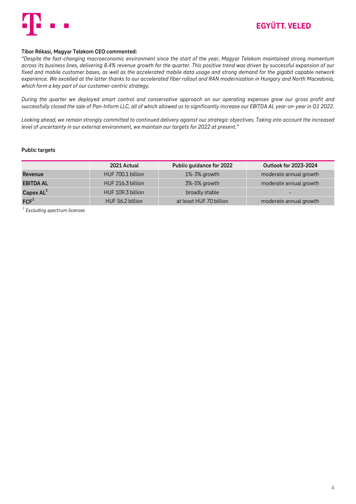

#### **Tibor Rékasi, Magyar Telekom CEO commented:**

*"Despite the fast-changing macroeconomic environment since the start of the year, Magyar Telekom maintained strong momentum across its business lines, delivering 8.4% revenue growth for the quarter. This positive trend was driven by successful expansion of our fixed and mobile customer bases, as well as the accelerated mobile data usage and strong demand for the gigabit capable network experience. We excelled at the latter thanks to our accelerated fiber rollout and RAN modernization in Hungary and North Macedonia, which form a key part of our customer-centric strategy.*

*During the quarter we deployed smart control and conservative approach on our operating expenses grew our gross profit and successfully closed the sale of Pan-Inform LLC, all of which allowed us to significantly increase our EBITDA AL year-on-year in Q1 2022.* 

*Looking ahead, we remain strongly committed to continued delivery against our strategic objectives. Taking into account the increased level of uncertainty in our external environment, we maintain our targets for 2022 at present."*

#### **Public targets**

|                  | 2021 Actual       | Public guidance for 2022 | Outlook for 2023-2024  |
|------------------|-------------------|--------------------------|------------------------|
| Revenue          | HUF 700.1 billion | 1%-3% growth             | moderate annual growth |
| <b>EBITDA AL</b> | HUF 216.3 billion | 3%-5% growth             | moderate annual growth |
| Capex $AL^1$     | HUF 109.3 billion | broadly stable           |                        |
| FCF <sup>1</sup> | HUF 56.2 billion  | at least HUF 70 billion  | moderate annual growth |

*<sup>1</sup>Excluding spectrum licenses*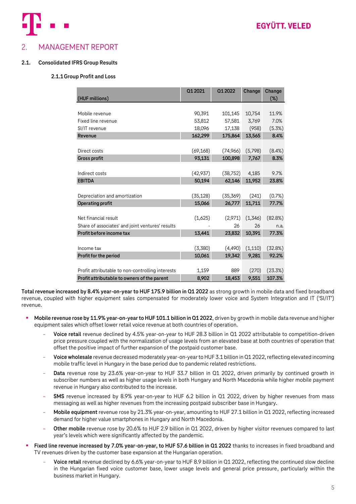

# <span id="page-4-0"></span>2. MANAGEMENT REPORT

### <span id="page-4-2"></span><span id="page-4-1"></span>**2.1. Consolidated IFRS Group Results**

### **2.1.1Group Profit and Loss**

|                                                  | Q1 2021   | 01 2022   | Change  | Change    |
|--------------------------------------------------|-----------|-----------|---------|-----------|
| (HUF millions)                                   |           |           |         | $(\%)$    |
|                                                  |           |           |         |           |
| Mobile revenue                                   | 90,391    | 101,145   | 10,754  | 11.9%     |
| Fixed line revenue                               | 53,812    | 57,581    | 3.769   | 7.0%      |
| SI/IT revenue                                    | 18,096    | 17,138    | (958)   | (5.3%)    |
| Revenue                                          | 162,299   | 175,864   | 13,565  | 8.4%      |
|                                                  |           |           |         |           |
| Direct costs                                     | (69, 168) | (74,966)  | (5,798) | $(8.4\%)$ |
| <b>Gross profit</b>                              | 93,131    | 100,898   | 7,767   | 8.3%      |
|                                                  |           |           |         |           |
| Indirect costs                                   | (42, 937) | (38, 752) | 4,185   | 9.7%      |
| <b>EBITDA</b>                                    | 50,194    | 62,146    | 11,952  | 23.8%     |
|                                                  |           |           |         |           |
| Depreciation and amortization                    | (35, 128) | (35,369)  | (241)   | (0.7%)    |
| Operating profit                                 | 15,066    | 26,777    | 11,711  | 77.7%     |
|                                                  |           |           |         |           |
| Net financial result                             | (1,625)   | (2,971)   | (1,346) | (82.8%)   |
| Share of associates' and joint ventures' results |           | 26        | 26      | n.a.      |
| Profit before income tax                         | 13,441    | 23,832    | 10,391  | 77.3%     |
|                                                  |           |           |         |           |
| Income tax                                       | (3,380)   | (4, 490)  | (1,110) | (32.8%)   |
| Profit for the period                            | 10,061    | 19,342    | 9,281   | 92.2%     |
|                                                  |           |           |         |           |
| Profit attributable to non-controlling interests | 1,159     | 889       | (270)   | (23.3%)   |
| Profit attributable to owners of the parent      | 8,902     | 18,453    | 9,551   | 107.3%    |

**Total revenue increased by 8.4% year-on-year to HUF 175.9 billion in Q1 2022** as strong growth in mobile data and fixed broadband revenue, coupled with higher equipment sales compensated for moderately lower voice and System Integration and IT ('SI/IT') revenue.

- Mobile revenue rose by 11.9% year-on-year to HUF 101.1 billion in Q1 2022, driven by growth in mobile data revenue and higher equipment sales which offset lower retail voice revenue at both countries of operation.
	- **Voice retail** revenue declined by 4.5% year-on-year to HUF 28.3 billion in Q1 2022 attributable to competition-driven price pressure coupled with the normalization of usage levels from an elevated base at both countries of operation that offset the positive impact of further expansion of the postpaid customer base.
	- **Voice wholesale** revenue decreased moderately year-on-year to HUF 3.1 billion in Q1 2022, reflecting elevated incoming mobile traffic level in Hungary in the base period due to pandemic related restrictions.
	- **Data** revenue rose by 23.6% year-on-year to HUF 33.7 billion in Q1 2022, driven primarily by continued growth in subscriber numbers as well as higher usage levels in both Hungary and North Macedonia while higher mobile payment revenue in Hungary also contributed to the increase.
	- **SMS** revenue increased by 8.9% year-on-year to HUF 6.2 billion in Q1 2022, driven by higher revenues from mass messaging as well as higher revenues from the increasing postpaid subscriber base in Hungary.
	- **Mobile equipment** revenue rose by 21.3% year-on-year, amounting to HUF 27.1 billion in Q1 2022, reflecting increased demand for higher value smartphones in Hungary and North Macedonia.
	- **Other mobile** revenue rose by 20.6% to HUF 2.9 billion in Q1 2022, driven by higher visitor revenues compared to last year's levels which were significantly affected by the pandemic.
- Fixed line revenue increased by 7.0% year-on-year, to HUF 57.6 billion in Q1 2022 thanks to increases in fixed broadband and TV revenues driven by the customer base expansion at the Hungarian operation.
	- **Voice retail** revenue declined by 6.6% year-on-year to HUF 8.9 billion in Q1 2022, reflecting the continued slow decline in the Hungarian fixed voice customer base, lower usage levels and general price pressure, particularly within the business market in Hungary.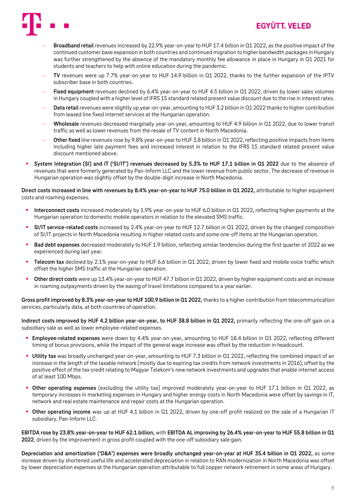

# **EGYÜTT, VELED**

- **Broadband retail** revenues increased by 22.9% year-on-year to HUF 17.4 billion in Q1 2022, as the positive impact of the continued customer base expansion in both countries and continued migration to higher bandwidth packages in Hungary was further strengthened by the absence of the mandatory monthly fee allowance in place in Hungary in Q1 2021 for students and teachers to help with online education during the pandemic.
- **TV** revenues were up 7.7% year-on-year to HUF 14.9 billion in Q1 2022, thanks to the further expansion of the IPTV subscriber base in both countries.
- **Fixed equipment** revenues declined by 6.4% year-on-year to HUF 4.5 billion in Q1 2022, driven by lower sales volumes in Hungary coupled with a higher level of IFRS 15 standard related present value discount due to the rise in interest rates.
- **Data retail** revenues were slightly up year-on-year, amounting to HUF 3.2 billion in Q1 2022 thanks to higher contribution from leased line fixed internet services at the Hungarian operation.
- **Wholesale** revenues decreased marginally year-on-year, amounting to HUF 4.9 billion in Q1 2022, due to lower transit traffic as well as lower revenues from the resale of TV content in North Macedonia.
- **Other fixed** line revenues rose by 9.8% year-on-year to HUF 3.8 billion in Q1 2022, reflecting positive impacts from items including higher late payment fees and increased interest in relation to the IFRS 15 standard related present value discount mentioned above.
- System Integration (SI) and IT ('SI/IT') revenues decreased by 5.3% to HUF 17.1 billion in Q1 2022 due to the absence of revenues that were formerly generated by Pan-Inform LLC and the lower revenue from public sector. The decrease of revenue in Hungarian operation was slightly offset by the double-digit increase in North Macedonia.

**Direct costs increased in line with revenues by 8.4% year-on-year to HUF 75.0 billion in Q1 2022,** attributable to higher equipment costs and roaming expenses.

- Interconnect costs increased moderately by 1.9% year-on-year to HUF 6.0 billion in Q1 2022, reflecting higher payments at the Hungarian operation to domestic mobile operators in relation to the elevated SMS traffic.
- **SI/IT service-related costs** increased by 2.4% year-on-year to HUF 12.7 billion in Q1 2022, driven by the changed composition of SI/IT projects in North Macedonia resulting in higher related costs and some one-off items at the Hungarian operation.
- **Bad debt expenses** decreased moderately to HUF 1.9 billion, reflecting similar tendencies during the first quarter of 2022 as we experienced during last year.
- **Telecom tax** declined by 2.1% year-on-year to HUF 6.6 billion in Q1 2022, driven by lower fixed and mobile voice traffic which offset the higher SMS traffic at the Hungarian operation.
- **Other direct costs** were up 13.4% year-on-year to HUF 47.7 billion in Q1 2022, driven by higher equipment costs and an increase in roaming outpayments driven by the easing of travel limitations compared to a year earlier.

**Gross profit improved by 8.3% year-on-year to HUF 100.9 billion in Q1 2022,** thanks to a higher contribution from telecommunication services, particularly data, at both countries of operation.

**Indirect costs improved by HUF 4.2 billion year-on-year, to HUF 38.8 billion in Q1 2022,** primarily reflecting the one-off gain on a subsidiary sale as well as lower employee-related expenses.

- **Employee-related expenses** were down by 4.4% year-on-year, amounting to HUF 18.4 billion in Q1 2022, reflecting different timing of bonus provisions, while the impact of the general wage increase was offset by the reduction in headcount.
- **Utility tax** was broadly unchanged year-on-year, amounting to HUF 7.3 billion in Q1 2022, reflecting the combined impact of an increase in the length of the taxable network (mostly due to expiring tax credits from network investments in 2016), offset by the positive effect of the tax credit relating to Magyar Telekom's new network investments and upgrades that enable internet access of at least 100 Mbps.
- **Other operating expenses** (excluding the utility tax) improved moderately year-on-year to HUF 17.1 billion in Q1 2022, as temporary increases in marketing expenses in Hungary and higher energy costs in North Macedonia were offset by savings in IT, network and real estate maintenance and repair costs at the Hungarian operation.
- Other operating income was up at HUF 4.1 billion in Q1 2022, driven by one-off profit realized on the sale of a Hungarian IT subsidiary, Pan-Inform LLC.

**EBITDA rose by 23.8% year-on-year to HUF 62.1 billion,** with **EBITDA AL improving by 26.4% year-on-year to HUF 55.8 billion in Q1 2022**, driven by the improvement in gross profit coupled with the one-off subsidiary sale gain.

**Depreciation and amortization ('D&A') expenses were broadly unchanged year-on-year at HUF 35.4 billion in Q1 2022,** as some increase driven by shortened useful life and accelerated depreciation in relation to RAN modernization in North Macedonia was offset by lower depreciation expenses at the Hungarian operation attributable to full copper network retirement in some areas of Hungary.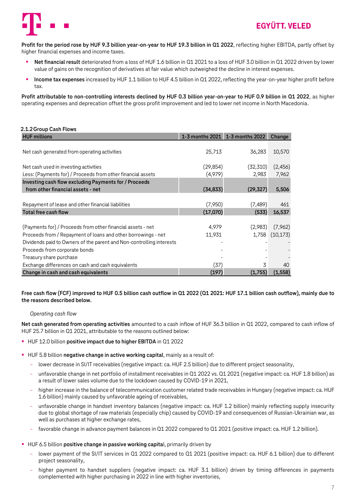

**Profit for the period rose by HUF 9.3 billion year-on-year to HUF 19.3 billion in Q1 2022**, reflecting higher EBITDA, partly offset by higher financial expenses and income taxes.

- **Net financial result** deteriorated from a loss of HUF 1.6 billion in Q1 2021 to a loss of HUF 3.0 billion in Q1 2022 driven by lower value of gains on the recognition of derivatives at fair value which outweighed the decline in interest expenses.
- Income tax expenses increased by HUF 1.1 billion to HUF 4.5 billion in Q1 2022, reflecting the year-on-year higher profit before tax.

**Profit attributable to non-controlling interests declined by HUF 0.3 billion year-on-year to HUF 0.9 billion in Q1 2022**, as higher operating expenses and deprecation offset the gross profit improvement and led to lower net income in North Macedonia.

**HUF millions 1-3 months 2021 1-3 months 2022 Change**

# <span id="page-6-0"></span>**2.1.2Group Cash Flows**

| пог шкиону                                                           |           | <b>I-3 INDITIIS ZUZI 1-3 INDITIIS ZUZZ CHANGE</b> |           |
|----------------------------------------------------------------------|-----------|---------------------------------------------------|-----------|
| Net cash generated from operating activities                         | 25,713    | 36,283                                            | 10,570    |
| Net cash used in investing activities                                | (29, 854) | (32,310)                                          | (2, 456)  |
| Less: (Payments for) / Proceeds from other financial assets          | (4,979)   | 2,983                                             | 7,962     |
| Investing cash flow excluding Payments for / Proceeds                |           |                                                   |           |
| from other financial assets - net                                    | (34, 833) | (29, 327)                                         | 5,506     |
|                                                                      |           |                                                   |           |
| Repayment of lease and other financial liabilities                   | (7,950)   | (7, 489)                                          | 461       |
| <b>Total free cash flow</b>                                          | (17,070)  | (533)                                             | 16,537    |
|                                                                      |           |                                                   |           |
| (Payments for) / Proceeds from other financial assets - net          | 4,979     | (2,983)                                           | (7,962)   |
| Proceeds from / Repayment of loans and other borrowings - net        | 11,931    | 1,758                                             | (10, 173) |
| Dividends paid to Owners of the parent and Non-controlling interests |           |                                                   |           |
| Proceeds from corporate bonds                                        |           |                                                   |           |
| Treasury share purchase                                              |           |                                                   |           |
| Exchange differences on cash and cash equivalents                    | (37)      |                                                   | 40        |
| Change in cash and cash equivalents                                  | (197)     | (1,755)                                           | (1, 558)  |

**Free cash flow (FCF) improved to HUF 0.5 billion cash outflow in Q1 2022 (Q1 2021: HUF 17.1 billion cash outflow), mainly due to the reasons described below.**

### *Operating cash flow*

**Net cash generated from operating activities** amounted to a cash inflow of HUF 36.3 billion in Q1 2022, compared to cash inflow of HUF 25.7 billion in Q1 2021, attributable to the reasons outlined below:

- HUF 12.0 billion **positive impact due to higher EBITDA** in Q1 2022
- **EXTENDED 5.8 billion negative change in active working capital, mainly as a result of:** 
	- lower decrease in SI/IT receivables (negative impact: ca. HUF 2.5 billion) due to different project seasonality,
	- unfavorable change in net portfolio of installment receivables in Q1 2022 vs. Q1 2021 (negative impact: ca. HUF 1.8 billion) as a result of lower sales volume due to the lockdown caused by COVID-19 in 2021,
	- higher increase in the balance of telecommunication customer related trade receivables in Hungary (negative impact: ca. HUF 1.6 billion) mainly caused by unfavorable ageing of receivables,
	- unfavorable change in handset inventory balances (negative impact: ca. HUF 1.2 billion) mainly reflecting supply insecurity due to global shortage of raw materials (especially chip) caused by COVID-19 and consequences of Russian-Ukrainian war, as well as purchases at higher exchange rates,
	- favorable change in advance payment balances in Q1 2022 compared to Q1 2021 (positive impact: ca. HUF 1.2 billion).
- **EXTENDITED 15 FIGHT 10 FIGHT 10 FIGHT 10 FIGHT 10 FIGHT 10 FIGHT 10 FIGHT 10 FIGHT 10 FIGHT 10 FIGHT 10 FIGHT 10 FIGHT 10 FIGHT 10 FIGHT 10 FIGHT 10 FIGHT 10 FIGHT 10 FIGHT 10 FIGHT 10 FIGHT 10 FIGHT 10 FIGHT 10 FIGHT 10** 
	- lower payment of the SI/IT services in Q1 2022 compared to Q1 2021 (positive impact: ca. HUF 6.1 billion) due to different project seasonality,
	- higher payment to handset suppliers (negative impact: ca. HUF 3.1 billion) driven by timing differences in payments complemented with higher purchasing in 2022 in line with higher inventories,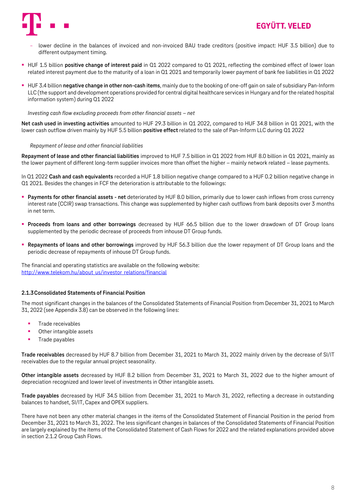

- lower decline in the balances of invoiced and non-invoiced BAU trade creditors (positive impact: HUF 3.5 billion) due to different outpayment timing.
- HUF 1.5 billion **positive change of interest paid** in Q1 2022 compared to Q1 2021, reflecting the combined effect of lower loan related interest payment due to the maturity of a loan in Q1 2021 and temporarily lower payment of bank fee liabilities in Q1 2022
- HUF 3.4 billion **negative change in other non-cash items**, mainly due to the booking of one-off gain on sale of subsidiary Pan-Inform LLC (the support and development operations provided for central digital healthcare services in Hungary and for the related hospital information system) during Q1 2022

*Investing cash flow excluding proceeds from other financial assets – net*

**Net cash used in investing activities** amounted to HUF 29.3 billion in Q1 2022, compared to HUF 34.8 billion in Q1 2021, with the lower cash outflow driven mainly by HUF 5.5 billion **positive effect** related to the sale of Pan-Inform LLC during Q1 2022

#### *Repayment of lease and other financial liabilities*

**Repayment of lease and other financial liabilities** improved to HUF 7.5 billion in Q1 2022 from HUF 8.0 billion in Q1 2021, mainly as the lower payment of different long-term supplier invoices more than offset the higher – mainly network related – lease payments.

In Q1 2022 **Cash and cash equivalents** recorded a HUF 1.8 billion negative change compared to a HUF 0.2 billion negative change in Q1 2021. Besides the changes in FCF the deterioration is attributable to the followings:

- **Payments for other financial assets net** deteriorated by HUF 8.0 billion, primarily due to lower cash inflows from cross currency interest rate (CCIR) swap transactions. This change was supplemented by higher cash outflows from bank deposits over 3 months in net term.
- **Proceeds from loans and other borrowings** decreased by HUF 66.5 billion due to the lower drawdown of DT Group loans supplemented by the periodic decrease of proceeds from inhouse DT Group funds.
- **Repayments of loans and other borrowings** improved by HUF 56.3 billion due the lower repayment of DT Group loans and the periodic decrease of repayments of inhouse DT Group funds.

The financial and operating statistics are available on the following website: [http://www.telekom.hu/about\\_us/investor\\_relations/financial](http://www.telekom.hu/about_us/investor_relations/financial)

#### <span id="page-7-0"></span>**2.1.3Consolidated Statements of Financial Position**

The most significant changes in the balances of the Consolidated Statements of Financial Position from December 31, 2021 to March 31, 2022 (see Appendix 3.8) can be observed in the following lines:

- Trade receivables
- Other intangible assets
- Trade pavables

**Trade receivables** decreased by HUF 8.7 billion from December 31, 2021 to March 31, 2022 mainly driven by the decrease of SI/IT receivables due to the regular annual project seasonality.

**Other intangible assets** decreased by HUF 8.2 billion from December 31, 2021 to March 31, 2022 due to the higher amount of depreciation recognized and lower level of investments in Other intangible assets.

**Trade payables** decreased by HUF 34.5 billion from December 31, 2021 to March 31, 2022, reflecting a decrease in outstanding balances to handset, SI/IT, Capex and OPEX suppliers.

There have not been any other material changes in the items of the Consolidated Statement of Financial Position in the period from December 31, 2021 to March 31, 2022. The less significant changes in balances of the Consolidated Statements of Financial Position are largely explained by the items of the Consolidated Statement of Cash Flows for 2022 and the related explanations provided above in section 2.1.2 Group Cash Flows.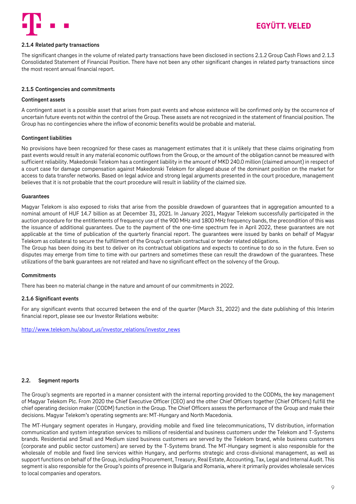

#### <span id="page-8-0"></span>**2.1.4 Related party transactions**

The significant changes in the volume of related party transactions have been disclosed in sections 2.1.2 Group Cash Flows and 2.1.3 Consolidated Statement of Financial Position. There have not been any other significant changes in related party transactions since the most recent annual financial report.

### <span id="page-8-1"></span>**2.1.5 Contingencies and commitments**

#### **Contingent assets**

A contingent asset is a possible asset that arises from past events and whose existence will be confirmed only by the occurrence of uncertain future events not within the control of the Group. These assets are not recognized in the statement of financial position. The Group has no contingencies where the inflow of economic benefits would be probable and material.

### **Contingent liabilities**

No provisions have been recognized for these cases as management estimates that it is unlikely that these claims originating from past events would result in any material economic outflows from the Group, or the amount of the obligation cannot be measured with sufficient reliability. Makedonski Telekom has a contingent liability in the amount of MKD 240.0 million (claimed amount) in respect of a court case for damage compensation against Makedonski Telekom for alleged abuse of the dominant position on the market for access to data transfer networks. Based on legal advice and strong legal arguments presented in the court procedure, management believes that it is not probable that the court procedure will result in liability of the claimed size.

#### **Guarantees**

Magyar Telekom is also exposed to risks that arise from the possible drawdown of guarantees that in aggregation amounted to a nominal amount of HUF 14.7 billion as at December 31, 2021. In January 2021, Magyar Telekom successfully participated in the auction procedure for the entitlements of frequency use of the 900 MHz and 1800 MHz frequency bands, the precondition of this was the issuance of additional guarantees. Due to the payment of the one-time spectrum fee in April 2022, these guarantees are not applicable at the time of publication of the quarterly financial report. The guarantees were issued by banks on behalf of Magyar Telekom as collateral to secure the fulfillment of the Group's certain contractual or tender related obligations.

The Group has been doing its best to deliver on its contractual obligations and expects to continue to do so in the future. Even so disputes may emerge from time to time with our partners and sometimes these can result the drawdown of the guarantees. These utilizations of the bank guarantees are not related and have no significant effect on the solvency of the Group.

### **Commitments**

There has been no material change in the nature and amount of our commitments in 2022.

### <span id="page-8-2"></span>**2.1.6 Significant events**

For any significant events that occurred between the end of the quarter (March 31, 2022) and the date publishing of this Interim financial report, please see our Investor Relations website:

[http://www.telekom.hu/about\\_us/investor\\_relations/investor\\_news](http://www.telekom.hu/about_us/investor_relations/investor_news)

### <span id="page-8-3"></span>**2.2. Segment reports**

The Group's segments are reported in a manner consistent with the internal reporting provided to the CODMs, the key management of Magyar Telekom Plc. From 2020 the Chief Executive Officer (CEO) and the other Chief Officers together (Chief Officers) fulfill the chief operating decision maker (CODM) function in the Group. The Chief Officers assess the performance of the Group and make their decisions. Magyar Telekom's operating segments are: MT-Hungary and North Macedonia.

The MT-Hungary segment operates in Hungary, providing mobile and fixed line telecommunications, TV distribution, information communication and system integration services to millions of residential and business customers under the Telekom and T-Systems brands. Residential and Small and Medium sized business customers are served by the Telekom brand, while business customers (corporate and public sector customers) are served by the T-Systems brand. The MT-Hungary segment is also responsible for the wholesale of mobile and fixed line services within Hungary, and performs strategic and cross-divisional management, as well as support functions on behalf of the Group, including Procurement, Treasury, Real Estate, Accounting, Tax, Legal and Internal Audit. This segment is also responsible for the Group's points of presence in Bulgaria and Romania, where it primarily provides wholesale services to local companies and operators.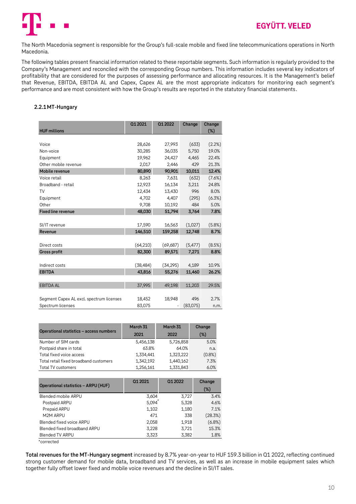

The North Macedonia segment is responsible for the Group's full-scale mobile and fixed line telecommunications operations in North Macedonia.

The following tables present financial information related to these reportable segments. Such information is regularly provided to the Company's Management and reconciled with the corresponding Group numbers. This information includes several key indicators of profitability that are considered for the purposes of assessing performance and allocating resources. It is the Management's belief that Revenue, EBITDA, EBITDA AL and Capex, Capex AL are the most appropriate indicators for monitoring each segment's performance and are most consistent with how the Group's results are reported in the statutory financial statements.

### <span id="page-9-0"></span>**2.2.1MT-Hungary**

| <b>HUF millions</b>                      | Q1 2021   | Q1 2022   | Change   | Change<br>$(\%)$ |
|------------------------------------------|-----------|-----------|----------|------------------|
|                                          |           |           |          |                  |
| Voice                                    | 28,626    | 27,993    | (633)    | (2.2%)           |
| Non-voice                                | 30,285    | 36,035    | 5,750    | 19.0%            |
| Equipment                                | 19,962    | 24,427    | 4,465    | 22.4%            |
| Other mobile revenue                     | 2,017     | 2,446     | 429      | 21.3%            |
| Mobile revenue                           | 80,890    | 90,901    | 10,011   | 12.4%            |
| Voice retail                             | 8,263     | 7,631     | (632)    | (7.6%)           |
| Broadband - retail                       | 12,923    | 16,134    | 3,211    | 24.8%            |
| TV                                       | 12.434    | 13.430    | 996      | 8.0%             |
| Equipment                                | 4,702     | 4,407     | (295)    | (6.3%)           |
| Other                                    | 9,708     | 10,192    | 484      | 5.0%             |
| <b>Fixed line revenue</b>                | 48,030    | 51,794    | 3,764    | 7.8%             |
|                                          |           |           |          |                  |
| SI/IT revenue                            | 17,590    | 16,563    | (1,027)  | (5.8%)           |
| Revenue                                  | 146,510   | 159,258   | 12,748   | 8.7%             |
|                                          |           |           |          |                  |
| Direct costs                             | (64, 210) | (69, 687) | (5, 477) | (8.5%)           |
| <b>Gross profit</b>                      | 82,300    | 89,571    | 7,271    | 8.8%             |
|                                          |           |           |          |                  |
| Indirect costs                           | (38, 484) | (34, 295) | 4,189    | 10.9%            |
| <b>EBITDA</b>                            | 43,816    | 55,276    | 11,460   | 26.2%            |
|                                          |           |           |          |                  |
| <b>EBITDA AL</b>                         | 37,995    | 49,198    | 11,203   | 29.5%            |
|                                          |           |           |          |                  |
| Segment Capex AL excl. spectrum licenses | 18,452    | 18,948    | 496      | 2.7%             |
| Spectrum licenses                        | 83,075    |           | (83,075) | n.m.             |

| Operational statistics - access numbers | March 31<br>2021 | March 31<br>2022 | Change<br>$(\%)$ |
|-----------------------------------------|------------------|------------------|------------------|
| Number of SIM cards                     | 5,456,138        | 5,726,858        | 5.0%             |
| Postpaid share in total                 | 63.8%            | 64.0%            | n.a.             |
| Total fixed voice access                | 1.334.441        | 1,323,222        | $(0.8\%)$        |
| Total retail fixed broadband customers  | 1,342,192        | 1,440,162        | 7.3%             |
| Total TV customers                      | 1,256,161        | 1,331,843        | 6.0%             |

| Operational statistics - ARPU (HUF) | 01 20 21 | 01 20 22 | Change<br>(%) |
|-------------------------------------|----------|----------|---------------|
| Blended mobile ARPU                 | 3,604    | 3,727    | 3.4%          |
| Postpaid ARPU                       | 5,094    | 5,328    | 4.6%          |
| Prepaid ARPU                        | 1,102    | 1,180    | 7.1%          |
| M2M ARPU                            | 471      | 338      | (28.3%)       |
| Blended fixed voice ARPU            | 2,058    | 1,918    | $(6.8\%)$     |
| Blended fixed broadband ARPU        | 3,228    | 3.721    | 15.3%         |
| <b>Blended TV ARPU</b>              | 3,323    | 3,382    | 1.8%          |

\*corrected

**Total revenues for the MT-Hungary segment** increased by 8.7% year-on-year to HUF 159.3 billion in Q1 2022, reflecting continued strong customer demand for mobile data, broadband and TV services, as well as an increase in mobile equipment sales which together fully offset lower fixed and mobile voice revenues and the decline in SI/IT sales.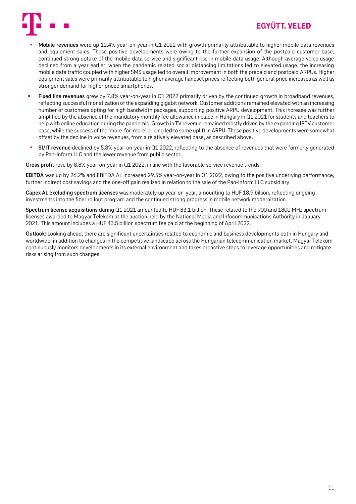

# EGYÜTT. VELED

- **Mobile revenues** were up 12.4% year-on-year in Q1 2022 with growth primarily attributable to higher mobile data revenues and equipment sales. These positive developments were owing to the further expansion of the postpaid customer base, continued strong uptake of the mobile data service and significant rise in mobile data usage. Although average voice usage declined from a year earlier, when the pandemic related social distancing limitations led to elevated usage, the increasing mobile data traffic coupled with higher SMS usage led to overall improvement in both the prepaid and postpaid ARPUs. Higher equipment sales were primarily attributable to higher average handset prices reflecting both general price increases as well as stronger demand for higher priced smartphones.
- Fixed line revenues grew by 7.8% year-on-year in Q1 2022 primarily driven by the continued growth in broadband revenues, reflecting successful monetization of the expanding gigabit network. Customer additions remained elevated with an increasing number of customers opting for high bandwidth packages, supporting positive ARPU development. This increase was further amplified by the absence of the mandatory monthly fee allowance in place in Hungary in Q1 2021 for students and teachers to help with online education during the pandemic.Growth in TV revenue remained mostly driven by the expanding IPTV customer base, while the success of the 'more-for-more' pricing led to some uplift in ARPU. These positive developments were somewhat offset by the decline in voice revenues, from a relatively elevated base, as described above.
- **SI/IT revenue** declined by 5.8% year-on-year in Q1 2022, reflecting to the absence of revenues that were formerly generated by Pan-Inform LLC and the lower revenue from public sector.

**Gross profit** rose by 8.8% year-on-year in Q1 2022, in line with the favorable service revenue trends.

**EBITDA** was up by 26.2% and EBITDA AL increased 29.5% year-on-year in Q1 2022, owing to the positive underlying performance, further indirect cost savings and the one-off gain realized in relation to the sale of the Pan-Inform LLC subsidiary.

**Capex AL excluding spectrum licenses** was moderately up year-on-year, amounting to HUF 18.9 billion, reflecting ongoing investments into the fiber rollout program and the continued strong progress in mobile network modernization.

**Spectrum license acquisitions** during Q1 2021 amounted to HUF 83.1 billion. These related to the 900 and 1800 MHz spectrum licenses awarded to Magyar Telekom at the auction held by the National Media and Infocommunications Authority in January 2021. This amount includes a HUF 43.5 billion spectrum fee paid at the beginning of April 2022.

**Outlook:** Looking ahead, there are significant uncertainties related to economic and business developments both in Hungary and worldwide, in addition to changes in the competitive landscape across the Hungarian telecommunication market. Magyar Telekom continuously monitors developments in its external environment and takes proactive steps to leverage opportunities and mitigate risks arising from such changes.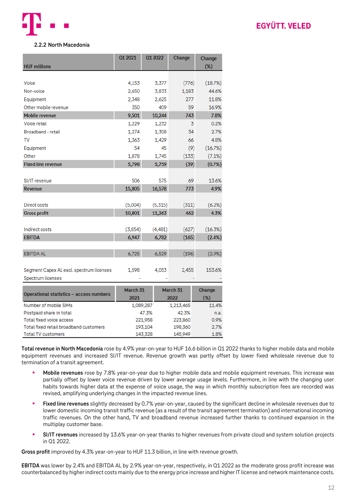

# **EGYÜTT, VELED**

### <span id="page-11-0"></span>**2.2.2 North Macedonia**

| <b>HUF millions</b>                      | 01 2021  | 01 2022   | Change            | Change<br>$(\%)$ |
|------------------------------------------|----------|-----------|-------------------|------------------|
|                                          |          |           |                   |                  |
| Voice                                    | 4,153    | 3,377     | (776)             | (18.7%)          |
| Non-voice                                | 2,650    | 3,833     | 1,183             | 44.6%            |
| Equipment                                | 2,348    | 2,625     | 277               | 11.8%            |
| Other mobile revenue                     | 350      | 409       | 59                | 16.9%            |
| Mobile revenue                           | 9,501    | 10,244    | 743               | 7.8%             |
| Voice retail                             | 1,229    | 1,232     | 3                 | 0.2%             |
| Broadband - retail                       | 1,274    | 1,308     | 34                | 2.7%             |
| TV                                       | 1,363    | 1,429     | 66                | 4.8%             |
| Equipment                                | 54       | 45        | (9)               | (16.7%)          |
| Other                                    | 1,878    | 1,745     | (133)             | (7.1%)           |
| <b>Fixed line revenue</b>                | 5,798    | 5,759     | (39)              | (0.7%)           |
|                                          |          |           |                   |                  |
| SI/IT revenue                            | 506      | 575       | 69                | 13.6%            |
| <b>Revenue</b>                           | 15,805   | 16,578    | 773               | 4.9%             |
|                                          |          |           |                   |                  |
| Direct costs                             | (5,004)  | (5,315)   | (311)             | (6.2%)           |
| <b>Gross profit</b>                      | 10,801   | 11,263    | 462               | 4.3%             |
|                                          |          |           |                   |                  |
| Indirect costs                           | (3, 854) | (4, 481)  | (627)             | (16.3%)          |
| <b>EBITDA</b>                            | 6,947    | 6,782     | (165)             | (2.4%)           |
|                                          |          |           |                   |                  |
| <b>EBITDA AL</b>                         | 6,725    | 6,529     | (196)             | (2.9%            |
|                                          |          |           |                   |                  |
| Segment Capex AL excl. spectrum licenses | 1,598    | 4,053     | 2,455             | 153.6%           |
| Spectrum licenses                        |          |           |                   |                  |
|                                          |          |           |                   |                  |
| Operational statistics - access numbers  | March 31 |           | March 31          | Change           |
| Number of mobile SIMs                    | 2021     | 1,089,287 | 2022<br>1,213,465 | (%)<br>11.4%     |
| Postpaid share in total                  |          | 47.3%     | 42.3%             | n.a.             |
| Total fixed voice access                 |          | 221,958   | 223,860           | 0.9%             |
| Total fixed retail broadband customers   |          | 193,104   | 198,360           | 2.7%             |
| <b>Total TV customers</b>                |          | 143,328   | 145,949           | 1.8%             |

**Total revenue in North Macedonia** rose by 4.9% year-on-year to HUF 16.6 billion in Q1 2022 thanks to higher mobile data and mobile equipment revenues and increased SI/IT revenue. Revenue growth was partly offset by lower fixed wholesale revenue due to termination of a transit agreement.

- **Mobile revenues** rose by 7.8% year-on-year due to higher mobile data and mobile equipment revenues. This increase was partially offset by lower voice revenue driven by lower average usage levels. Furthermore, in line with the changing user habits towards higher data at the expense of voice usage, the way in which monthly subscription fees are recorded was revised, amplifying underlying changes in the impacted revenue lines.
- Fixed line revenues slightly decreased by 0.7% year-on-year, caused by the significant decline in wholesale revenues due to lower domestic incoming transit traffic revenue (as a result of the transit agreement termination) and international incoming traffic revenues. On the other hand, TV and broadband revenue increased further thanks to continued expansion in the multiplay customer base.
- **SI/IT revenues** increased by 13.6% year-on-year thanks to higher revenues from private cloud and system solution projects in Q1 2022.

**Gross profit** improved by 4.3% year-on-year to HUF 11.3 billion, in line with revenue growth.

**EBITDA** was lower by 2.4% and EBITDA AL by 2.9% year-on-year, respectively, in Q1 2022 as the moderate gross profit increase was counterbalanced by higher indirect costs mainly due to the energy price increase and higher IT license and network maintenance costs.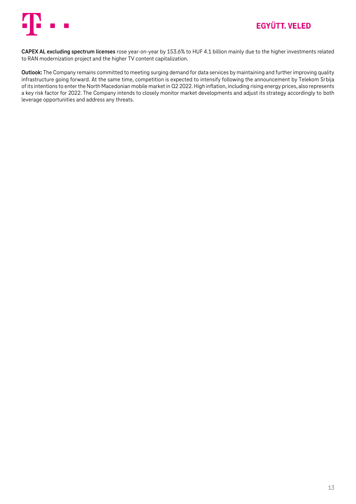

**CAPEX AL excluding spectrum licenses** rose year-on-year by 153.6% to HUF 4.1 billion mainly due to the higher investments related to RAN modernization project and the higher TV content capitalization.

**Outlook:** The Company remains committed to meeting surging demand for data services by maintaining and further improving quality infrastructure going forward. At the same time, competition is expected to intensify following the announcement by Telekom Srbija of its intentions to enter the North Macedonian mobile market in Q2 2022. High inflation, including rising energy prices, also represents a key risk factor for 2022. The Company intends to closely monitor market developments and adjust its strategy accordingly to both leverage opportunities and address any threats.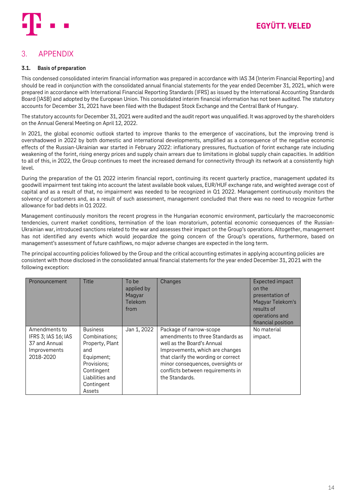

# <span id="page-13-0"></span>3. APPENDIX

### <span id="page-13-1"></span>**3.1. Basis of preparation**

This condensed consolidated interim financial information was prepared in accordance with IAS 34 (Interim Financial Reporting) and should be read in conjunction with the consolidated annual financial statements for the year ended December 31, 2021, which were prepared in accordance with International Financial Reporting Standards (IFRS) as issued by the International Accounting Standards Board (IASB) and adopted by the European Union. This consolidated interim financial information has not been audited. The statutory accounts for December 31, 2021 have been filed with the Budapest Stock Exchange and the Central Bank of Hungary.

The statutory accounts for December 31, 2021 were audited and the audit report was unqualified. It was approved by the shareholders on the Annual General Meeting on April 12, 2022.

In 2021, the global economic outlook started to improve thanks to the emergence of vaccinations, but the improving trend is overshadowed in 2022 by both domestic and international developments, amplified as a consequence of the negative economic effects of the Russian-Ukrainian war started in February 2022: inflationary pressures, fluctuation of forint exchange rate including weakening of the forint, rising energy prices and supply chain arrears due to limitations in global supply chain capacities. In addition to all of this, in 2022, the Group continues to meet the increased demand for connectivity through its network at a consistently high level.

During the preparation of the Q1 2022 interim financial report, continuing its recent quarterly practice, management updated its goodwill impairment test taking into account the latest available book values, EUR/HUF exchange rate, and weighted average cost of capital and as a result of that, no impairment was needed to be recognized in Q1 2022. Management continuously monitors the solvency of customers and, as a result of such assessment, management concluded that there was no need to recognize further allowance for bad debts in Q1 2022.

Management continuously monitors the recent progress in the Hungarian economic environment, particularly the macroeconomic tendencies, current market conditions, termination of the loan moratorium, potential economic consequences of the Russian-Ukrainian war, introduced sanctions related to the war and assesses their impact on the Group's operations. Altogether, management has not identified any events which would jeopardize the going concern of the Group's operations, furthermore, based on management's assessment of future cashflows, no major adverse changes are expected in the long term.

The principal accounting policies followed by the Group and the critical accounting estimates in applying accounting policies are consistent with those disclosed in the consolidated annual financial statements for the year ended December 31, 2021 with the following exception:

| Pronouncement                                                                      | <b>Title</b>                                                                                                                                     | To be<br>applied by<br>Magyar<br>Telekom<br>from | Changes                                                                                                                                                                                                                                                         | Expected impact<br>on the<br>presentation of<br>Magyar Telekom's<br>results of<br>operations and<br>financial position |
|------------------------------------------------------------------------------------|--------------------------------------------------------------------------------------------------------------------------------------------------|--------------------------------------------------|-----------------------------------------------------------------------------------------------------------------------------------------------------------------------------------------------------------------------------------------------------------------|------------------------------------------------------------------------------------------------------------------------|
| Amendments to<br>IFRS 3; IAS 16; IAS<br>37 and Annual<br>Improvements<br>2018-2020 | <b>Business</b><br>Combinations:<br>Property, Plant<br>and<br>Equipment;<br>Provisions;<br>Contingent<br>Liabilities and<br>Contingent<br>Assets | Jan 1, 2022                                      | Package of narrow-scope<br>amendments to three Standards as<br>well as the Board's Annual<br>Improvements, which are changes<br>that clarify the wording or correct<br>minor consequences, oversights or<br>conflicts between requirements in<br>the Standards. | No material<br>impact.                                                                                                 |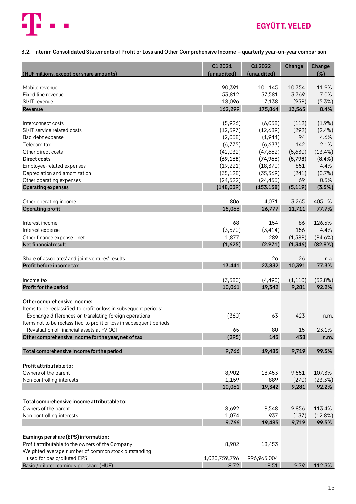

# **EGYÜTT. VELED**

## <span id="page-14-0"></span>**3.2. Interim Consolidated Statements of Profit or Loss and Other Comprehensive Income – quarterly year-on-year comparison**

| (HUF millions, except per share amounts)                              | 01 20 21<br>(unaudited) | Q1 2022<br>(unaudited) | Change         | Change<br>$(\%)$ |
|-----------------------------------------------------------------------|-------------------------|------------------------|----------------|------------------|
| Mobile revenue                                                        | 90,391                  | 101,145                | 10,754         | 11.9%            |
| Fixed line revenue                                                    | 53,812                  | 57,581                 | 3,769          | 7.0%             |
| SI/IT revenue                                                         | 18,096                  | 17,138                 | (958)          | (5.3%)           |
| Revenue                                                               | 162,299                 | 175,864                | 13,565         | 8.4%             |
|                                                                       |                         |                        |                |                  |
| Interconnect costs                                                    | (5,926)                 | (6,038)                | (112)          | (1.9%)           |
| SI/IT service related costs                                           | (12, 397)               | (12,689)               | (292)<br>94    | (2.4%)           |
| Bad debt expense<br>Telecom tax                                       | (2,038)<br>(6,775)      | (1,944)<br>(6,633)     | 142            | 4.6%<br>2.1%     |
| Other direct costs                                                    | (42,032)                | (47,662)               | (5,630)        | (13.4%)          |
| Direct costs                                                          | (69, 168)               | (74, 966)              | (5,798)        | (8.4%)           |
| Employee-related expenses                                             | (19, 221)               | (18, 370)              | 851            | 4.4%             |
| Depreciation and amortization                                         | (35, 128)               | (35,369)               | (241)          | (0.7%)           |
| Other operating expenses                                              | (24, 522)               | (24, 453)              | 69             | 0.3%             |
| <b>Operating expenses</b>                                             | (148, 039)              | (153, 158)             | (5, 119)       | (3.5%)           |
| Other operating income                                                | 806                     | 4,071                  | 3,265          | 405.1%           |
| Operating profit                                                      | 15,066                  | 26,777                 | 11,711         | 77.7%            |
|                                                                       |                         |                        |                |                  |
| Interest income                                                       | 68                      | 154                    | 86             | 126.5%           |
| Interest expense                                                      | (3,570)                 | (3, 414)               | 156            | 4.4%             |
| Other finance expense - net                                           | 1,877                   | 289                    | (1,588)        | (84.6%)          |
| Net financial result                                                  | (1,625)                 | (2,971)                | (1, 346)       | (82.8%)          |
| Share of associates' and joint ventures' results                      |                         | 26                     | 26             | n.a.             |
| Profit before income tax                                              | 13,441                  | 23,832                 | 10,391         | 77.3%            |
| Income tax                                                            | (3,380)                 | (4,490)                | (1,110)        | (32.8%)          |
| Profit for the period                                                 | 10,061                  | 19,342                 | 9,281          | 92.2%            |
| Other comprehensive income:                                           |                         |                        |                |                  |
| Items to be reclassified to profit or loss in subsequent periods:     |                         |                        |                |                  |
| Exchange differences on translating foreign operations                | (360)                   | 63                     | 423            | n.m.             |
| Items not to be reclassified to profit or loss in subsequent periods: |                         |                        |                |                  |
| Revaluation of financial assets at FV OCI                             | 65                      | 80                     | 15             | 23.1%            |
| Other comprehensive income for the year, net of tax                   | (295)                   | 143                    | 438            | n.m.             |
| Total comprehensive income for the period                             | 9,766                   | 19,485                 | 9,719          | 99.5%            |
|                                                                       |                         |                        |                |                  |
| Profit attributable to:                                               |                         |                        |                |                  |
| Owners of the parent                                                  | 8,902                   | 18,453                 | 9,551          | 107.3%           |
| Non-controlling interests                                             | 1,159<br>10,061         | 889<br>19,342          | (270)<br>9,281 | (23.3%)<br>92.2% |
|                                                                       |                         |                        |                |                  |
| Total comprehensive income attributable to:                           |                         |                        |                |                  |
| Owners of the parent                                                  | 8,692                   | 18,548                 | 9,856          | 113.4%           |
| Non-controlling interests                                             | 1,074                   | 937                    | (137)          | (12.8%)          |
|                                                                       | 9,766                   | 19,485                 | 9,719          | 99.5%            |
| Earnings per share (EPS) information:                                 |                         |                        |                |                  |
| Profit attributable to the owners of the Company                      | 8,902                   | 18,453                 |                |                  |
| Weighted average number of common stock outstanding                   |                         |                        |                |                  |
| used for basic/diluted EPS                                            | 1,020,759,796           | 996,965,004            |                |                  |
| Basic / diluted earnings per share (HUF)                              | 8.72                    | 18.51                  | 9.79           | 112.3%           |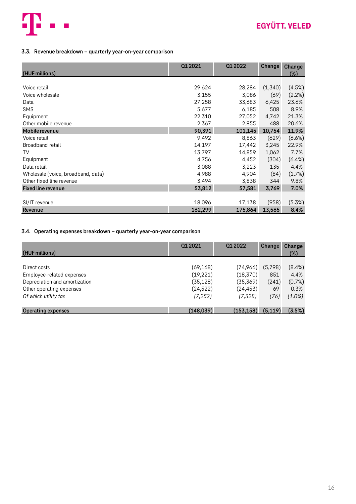

### <span id="page-15-0"></span>**3.3. Revenue breakdown – quarterly year-on-year comparison**

|                                    | Q1 2021 | Q1 2022 | Change  | Change |
|------------------------------------|---------|---------|---------|--------|
| (HUF millions)                     |         |         |         | (%)    |
|                                    |         |         |         |        |
| Voice retail                       | 29,624  | 28,284  | (1,340) | (4.5%) |
| Voice wholesale                    | 3,155   | 3,086   | (69)    | (2.2%) |
| Data                               | 27,258  | 33,683  | 6,425   | 23.6%  |
| <b>SMS</b>                         | 5,677   | 6,185   | 508     | 8.9%   |
| Equipment                          | 22,310  | 27,052  | 4,742   | 21.3%  |
| Other mobile revenue               | 2,367   | 2,855   | 488     | 20.6%  |
| Mobile revenue                     | 90,391  | 101,145 | 10,754  | 11.9%  |
| Voice retail                       | 9,492   | 8,863   | (629)   | (6.6%) |
| Broadband retail                   | 14,197  | 17,442  | 3,245   | 22.9%  |
| TV                                 | 13,797  | 14,859  | 1,062   | 7.7%   |
| Equipment                          | 4,756   | 4,452   | (304)   | (6.4%) |
| Data retail                        | 3,088   | 3,223   | 135     | 4.4%   |
| Wholesale (voice, broadband, data) | 4,988   | 4,904   | (84)    | (1.7%) |
| Other fixed line revenue           | 3,494   | 3,838   | 344     | 9.8%   |
| <b>Fixed line revenue</b>          | 53,812  | 57,581  | 3,769   | 7.0%   |
|                                    |         |         |         |        |
| SI/IT revenue                      | 18,096  | 17,138  | (958)   | (5.3%) |
| Revenue                            | 162,299 | 175,864 | 13,565  | 8.4%   |

### <span id="page-15-1"></span>**3.4. Operating expenses breakdown – quarterly year-on-year comparison**

| (HUF millions)                | 01 20 21   | 01 20 22   | Change   | Change<br>(%) |
|-------------------------------|------------|------------|----------|---------------|
|                               |            |            |          |               |
| Direct costs                  | (69, 168)  | (74,966)   | (5,798)  | $(8.4\%)$     |
| Employee-related expenses     | (19, 221)  | (18, 370)  | 851      | 4.4%          |
| Depreciation and amortization | (35, 128)  | (35, 369)  | (241)    | (0.7%)        |
| Other operating expenses      | (24, 522)  | (24, 453)  | 69       | 0.3%          |
| Of which utility tax          | (7, 252)   | (7, 328)   | (76)     | (1.0%)        |
|                               |            |            |          |               |
| <b>Operating expenses</b>     | (148, 039) | (153, 158) | (5, 119) | (3.5%)        |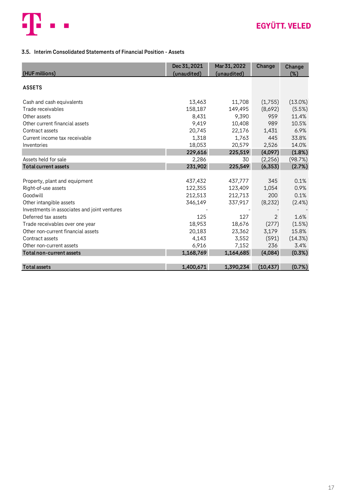

## <span id="page-16-0"></span>**3.5. Interim Consolidated Statements of Financial Position - Assets**

| (HUF millions)                               | Dec 31, 2021<br>(unaudited) | Mar 31, 2022<br>(unaudited) | Change    | Change<br>(%) |
|----------------------------------------------|-----------------------------|-----------------------------|-----------|---------------|
| <b>ASSETS</b>                                |                             |                             |           |               |
| Cash and cash equivalents                    | 13,463                      | 11,708                      | (1,755)   | (13.0%)       |
| Trade receivables                            | 158,187                     | 149,495                     | (8,692)   | (5.5%)        |
| Other assets                                 | 8,431                       | 9,390                       | 959       | 11.4%         |
| Other current financial assets               | 9,419                       | 10,408                      | 989       | 10.5%         |
| Contract assets                              | 20,745                      | 22,176                      | 1,431     | 6.9%          |
| Current income tax receivable                | 1,318                       | 1,763                       | 445       | 33.8%         |
| Inventories                                  | 18,053                      | 20,579                      | 2,526     | 14.0%         |
|                                              | 229,616                     | 225,519                     | (4,097)   | (1.8%)        |
| Assets held for sale                         | 2,286                       | 30                          | (2, 256)  | (98.7%)       |
| <b>Total current assets</b>                  | 231,902                     | 225,549                     | (6, 353)  | (2.7%)        |
|                                              |                             |                             |           |               |
| Property, plant and equipment                | 437,432                     | 437,777                     | 345       | 0.1%          |
| Right-of-use assets                          | 122,355                     | 123,409                     | 1,054     | 0.9%          |
| Goodwill                                     | 212,513                     | 212,713                     | 200       | 0.1%          |
| Other intangible assets                      | 346,149                     | 337,917                     | (8, 232)  | $(2.4\%)$     |
| Investments in associates and joint ventures |                             |                             |           |               |
| Deferred tax assets                          | 125                         | 127                         | 2         | 1.6%          |
| Trade receivables over one year              | 18,953                      | 18,676                      | (277)     | (1.5%)        |
| Other non-current financial assets           | 20,183                      | 23,362                      | 3,179     | 15.8%         |
| Contract assets                              | 4,143                       | 3,552                       | (591)     | (14.3%)       |
| Other non-current assets                     | 6,916                       | 7,152                       | 236       | 3.4%          |
| Total non-current assets                     | 1,168,769                   | 1,164,685                   | (4,084)   | (0.3%)        |
|                                              |                             |                             |           |               |
| <b>Total assets</b>                          | 1,400,671                   | 1,390,234                   | (10, 437) | (0.7%)        |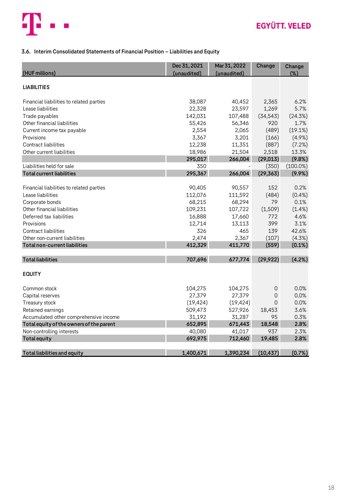

## <span id="page-17-0"></span>**3.6. Interim Consolidated Statements of Financial Position – Liabilities and Equity**

| (HUF millions)                           | Dec 31, 2021<br>(unaudited) | Mar 31, 2022<br>(unaudited) | Change    | Change<br>(%) |
|------------------------------------------|-----------------------------|-----------------------------|-----------|---------------|
|                                          |                             |                             |           |               |
| <b>LIABILITIES</b>                       |                             |                             |           |               |
| Financial liabilities to related parties | 38,087                      | 40,452                      | 2,365     | 6.2%          |
| Lease liabilities                        | 22,328                      | 23,597                      | 1,269     | 5.7%          |
| Trade payables                           | 142,031                     | 107,488                     | (34, 543) | (24.3%)       |
| Other financial liabilities              | 55,426                      | 56,346                      | 920       | 1.7%          |
| Current income tax payable               | 2,554                       | 2,065                       | (489)     | (19.1%)       |
| Provisions                               | 3,367                       | 3,201                       | (166)     | $(4.9\%)$     |
| Contract liabilities                     | 12,238                      | 11,351                      | (887)     | (7.2%)        |
| Other current liabilities                | 18,986                      | 21,504                      | 2,518     | 13.3%         |
|                                          | 295,017                     | 266,004                     | (29, 013) | (9.8%)        |
| Liabilities held for sale                | 350                         |                             | (350)     | $(100.0\%)$   |
| <b>Total current liabilities</b>         | 295,367                     | 266,004                     | (29, 363) | $(9.9\%)$     |
|                                          |                             |                             |           |               |
| Financial liabilities to related parties | 90,405                      | 90,557                      | 152       | 0.2%          |
| Lease liabilities                        | 112,076                     | 111,592                     | (484)     | $(0.4\%)$     |
| Corporate bonds                          | 68,215                      | 68,294                      | 79        | 0.1%          |
| Other financial liabilities              | 109,231                     | 107,722                     | (1,509)   | $(1.4\%)$     |
| Deferred tax liabilities                 | 16,888                      | 17,660                      | 772       | 4.6%          |
| Provisions                               | 12,714                      | 13,113                      | 399       | 3.1%          |
| Contract liabilities                     | 326                         | 465                         | 139       | 42.6%         |
| Other non-current liabilities            | 2,474                       | 2,367                       | (107)     | (4.3%)        |
| Total non-current liabilities            | 412,329                     | 411,770                     | (559)     | (0.1%)        |
| <b>Total liabilities</b>                 | 707,696                     | 677,774                     | (29, 922) | (4.2%)        |
| <b>EQUITY</b>                            |                             |                             |           |               |
| Common stock                             | 104,275                     | 104,275                     | 0         | 0.0%          |
| Capital reserves                         | 27,379                      | 27,379                      | 0         | 0.0%          |
| Treasury stock                           | (19, 424)                   | (19, 424)                   | 0         | 0.0%          |
| Retained earnings                        | 509,473                     | 527,926                     | 18,453    | 3.6%          |
| Accumulated other comprehensive income   | 31,192                      | 31,287                      | 95        | 0.3%          |
| Total equity of the owners of the parent | 652,895                     | 671,443                     | 18,548    | 2.8%          |
| Non-controlling interests                | 40,080                      | 41,017                      | 937       | 2.3%          |
| <b>Total equity</b>                      | 692,975                     | 712,460                     | 19,485    | 2.8%          |
|                                          |                             |                             |           |               |
| Total liabilities and equity             | 1,400,671                   | 1,390,234                   | (10, 437) | (0.7%)        |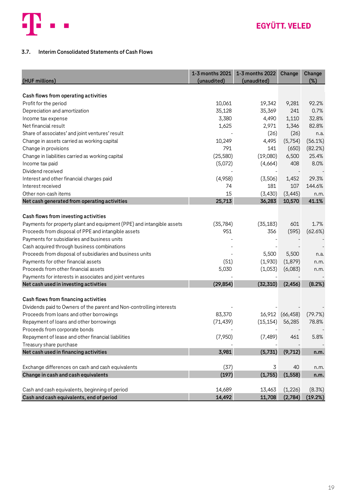

### <span id="page-18-0"></span>**3.7. Interim Consolidated Statements of Cash Flows**

| (HUF millions)                                                        | 1-3 months 2021<br>(unaudited) | 1-3 months 2022<br>(unaudited) | Change    | Change<br>$(\%)$ |
|-----------------------------------------------------------------------|--------------------------------|--------------------------------|-----------|------------------|
| Cash flows from operating activities                                  |                                |                                |           |                  |
| Profit for the period                                                 | 10,061                         | 19,342                         | 9,281     | 92.2%            |
| Depreciation and amortization                                         | 35,128                         | 35,369                         | 241       | 0.7%             |
| Income tax expense                                                    | 3,380                          | 4,490                          | 1,110     | 32.8%            |
| Net financial result                                                  | 1,625                          | 2,971                          | 1,346     | 82.8%            |
| Share of associates' and joint ventures' result                       |                                | (26)                           | (26)      | n.a.             |
| Change in assets carried as working capital                           | 10,249                         | 4,495                          | (5,754)   | (56.1%)          |
| Change in provisions                                                  | 791                            | 141                            | (650)     | (82.2%)          |
| Change in liabilities carried as working capital                      | (25, 580)                      | (19,080)                       | 6,500     | 25.4%            |
| Income tax paid                                                       | (5,072)                        | (4,664)                        | 408       | 8.0%             |
| Dividend received                                                     |                                |                                |           |                  |
| Interest and other financial charges paid                             | (4,958)                        | (3,506)                        | 1,452     | 29.3%            |
| Interest received                                                     | 74                             | 181                            | 107       | 144.6%           |
| Other non-cash items                                                  | 15                             | (3, 430)                       | (3, 445)  | n.m.             |
| Net cash generated from operating activities                          | 25,713                         | 36,283                         | 10,570    | 41.1%            |
|                                                                       |                                |                                |           |                  |
| Cash flows from investing activities                                  |                                |                                |           |                  |
| Payments for property plant and equipment (PPE) and intangible assets | (35, 784)                      | (35, 183)                      | 601       | 1.7%             |
| Proceeds from disposal of PPE and intangible assets                   | 951                            | 356                            | (595)     | (62.6%)          |
| Payments for subsidiaries and business units                          |                                |                                |           |                  |
| Cash acquired through business combinations                           |                                |                                |           |                  |
| Proceeds from disposal of subsidiaries and business units             |                                | 5,500                          | 5,500     | n.a.             |
| Payments for other financial assets                                   | (51)                           | (1,930)                        | (1, 879)  | n.m.             |
| Proceeds from other financial assets                                  | 5,030                          | (1,053)                        | (6,083)   | n.m.             |
| Payments for interests in associates and joint ventures               |                                |                                |           |                  |
| Net cash used in investing activities                                 | (29, 854)                      | (32, 310)                      | (2, 456)  | (8.2%)           |
|                                                                       |                                |                                |           |                  |
| Cash flows from financing activities                                  |                                |                                |           |                  |
| Dividends paid to Owners of the parent and Non-controlling interests  |                                |                                |           |                  |
| Proceeds from loans and other borrowings                              | 83,370                         | 16,912                         | (66, 458) | (79.7%)          |
| Repayment of loans and other borrowings                               | (71, 439)                      | (15, 154)                      | 56,285    | 78.8%            |
| Proceeds from corporate bonds                                         |                                |                                |           |                  |
| Repayment of lease and other financial liabilities                    | (7,950)                        | (7, 489)                       | 461       | 5.8%             |
| Treasury share purchase                                               |                                |                                |           |                  |
| Net cash used in financing activities                                 | 3,981                          | (5,731)                        | (9,712)   | n.m.             |
|                                                                       |                                |                                |           |                  |
| Exchange differences on cash and cash equivalents                     | (37)                           | 3                              | 40        | n.m.             |
| Change in cash and cash equivalents                                   | (197)                          | (1,755)                        | (1, 558)  | n.m.             |
|                                                                       |                                |                                |           |                  |
| Cash and cash equivalents, beginning of period                        | 14,689                         | 13,463                         | (1, 226)  | (8.3%)           |
| Cash and cash equivalents, end of period                              | 14,492                         | 11,708                         | (2,784)   | (19.2%)          |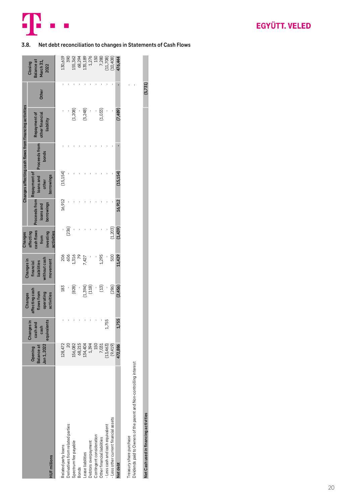

## <span id="page-19-0"></span>**3.8. Net debt reconciliation to changes in Statements of Cash Flows**

|                                                                                                |                                             |                                              | Changes                                                 | Changes in                                           | Changes                                                    |                                          |                                                  |                               | Changes affecting cash flows from financing activities |       |                                                                       |
|------------------------------------------------------------------------------------------------|---------------------------------------------|----------------------------------------------|---------------------------------------------------------|------------------------------------------------------|------------------------------------------------------------|------------------------------------------|--------------------------------------------------|-------------------------------|--------------------------------------------------------|-------|-----------------------------------------------------------------------|
| <b>HUF</b> millions                                                                            | Jan 1, 2022<br><b>Balance</b> at<br>Opening | Changes in<br>cashand<br>equivalents<br>cash | affecting cash<br>flows from<br>operating<br>activities | without cash<br>movement<br>liabilities<br>financial | cash flows<br>investing<br>activities<br>affecting<br>from | Proceeds from<br>borrowings<br>loans and | Repayment of<br>loans and<br>borrowings<br>other | Proceeds from<br><b>bonds</b> | Repayment of<br>other financial<br>liability           | Other | <b>Balance</b> at<br>March 31,<br>Closing<br>2022                     |
| Related party loans                                                                            | 128,472                                     |                                              | 183                                                     |                                                      |                                                            | 16,912                                   | (15, 154)                                        |                               |                                                        |       | 130,619                                                               |
| Derivatives from related parties                                                               |                                             |                                              |                                                         | 206<br>60                                            | (236)                                                      |                                          |                                                  |                               |                                                        |       | <b>S90</b>                                                            |
| Spectrum fee payable                                                                           | 156,082                                     |                                              | (828)                                                   | 1,316<br>79                                          |                                                            |                                          |                                                  |                               | (1, 208)                                               |       | 155,362                                                               |
| <b>Bonds</b>                                                                                   | 68,215                                      |                                              |                                                         |                                                      |                                                            |                                          |                                                  |                               |                                                        |       |                                                                       |
| -ease liabilities                                                                              | 134,404                                     |                                              |                                                         | 7,427                                                |                                                            |                                          |                                                  |                               | (5, 248)                                               |       | $\begin{array}{c} 68,294 \\ 135,189 \\ 1,276 \\ 1,276 \\ \end{array}$ |
| Debtors over payment                                                                           | 1,394                                       |                                              | $(1,394)$<br>$(118)$                                    |                                                      |                                                            |                                          |                                                  |                               |                                                        |       |                                                                       |
| Contingent consideration                                                                       | 150                                         |                                              | $\overline{a}$                                          |                                                      |                                                            |                                          |                                                  |                               |                                                        |       |                                                                       |
| Other financial liabilities                                                                    | 7,031                                       |                                              | (13)                                                    | 1,295                                                |                                                            |                                          |                                                  |                               | (1, 033)                                               |       | 7,280                                                                 |
| - Less cash and cash equivalent                                                                | (13, 463)                                   | 1,755                                        |                                                         |                                                      |                                                            |                                          |                                                  |                               |                                                        |       |                                                                       |
| - Less other current financial assets                                                          | (9, 419)                                    |                                              | (286)                                                   | 500                                                  | (1, 203)                                                   |                                          |                                                  |                               |                                                        |       | $(11, 708)$<br>$(10, 408)$                                            |
| Net debt                                                                                       | 472,886                                     | 1,755                                        | (2,456)                                                 | 11,429                                               | (1, 439)                                                   | 16,912                                   | (15, 154)                                        |                               | (7, 489)                                               |       | 176,444                                                               |
| Dividends paid to Owners of the parent and Non-controlling interest<br>Treasury share purchase |                                             |                                              |                                                         |                                                      |                                                            |                                          |                                                  |                               |                                                        |       |                                                                       |

**Net Cash used in financing activities (5,731)**

Net Cash used in financing activities

 $(5,731)$ 

20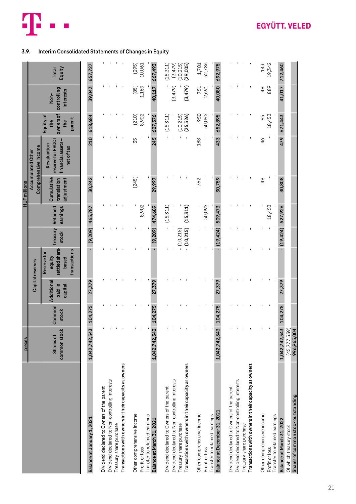

# <span id="page-20-0"></span>**3.9. Interim Consolidated Statements of Changes in Equity**

|                                                                                                                                   | pieces                                         |                 |                                  |                                                                  |                               |                             | <b>HUF</b> millions                     |                                                                     |                                               |                                         |                            |
|-----------------------------------------------------------------------------------------------------------------------------------|------------------------------------------------|-----------------|----------------------------------|------------------------------------------------------------------|-------------------------------|-----------------------------|-----------------------------------------|---------------------------------------------------------------------|-----------------------------------------------|-----------------------------------------|----------------------------|
|                                                                                                                                   |                                                |                 |                                  | Capital reserves                                                 |                               |                             |                                         | Comprehensive Income<br>Accumulated Other                           |                                               |                                         |                            |
|                                                                                                                                   | common stock<br><b>Shares of</b>               | Common<br>stock | Additional<br>paid in<br>capital | settled share-<br>transactions<br>Reserve for<br>equity<br>based | Treasury<br>stock             | earnings<br><b>Retained</b> | Cumulative<br>adjustment<br>translation | reserve for FVOCI<br>financial assets-<br>Revaluation<br>net of tax | ownersof<br>Equity of<br>parent<br>the<br>the | controlling<br><b>interests</b><br>Non- | Equity<br><b>Total</b>     |
| Balance at January 1, 2021                                                                                                        | 1,042,742,543                                  | 104,275         | 27,379                           |                                                                  | (9, 209)                      | 465,787                     | 30,242                                  | 210                                                                 | 618,684                                       | 39,043                                  | 657,727                    |
| Dividend declared to Non-controlling interests<br>Dividend declared to Owners of the parent                                       |                                                |                 |                                  |                                                                  |                               |                             |                                         |                                                                     |                                               |                                         |                            |
| Transactions with owners in their capacity as owners<br>Treasury share purchase                                                   |                                                |                 |                                  |                                                                  |                               |                             |                                         |                                                                     |                                               |                                         |                            |
| Other comprehensive income<br>Transfer to retained earnings<br>Profit or loss                                                     |                                                |                 |                                  |                                                                  |                               | 8,902                       | (245)                                   | 35                                                                  | 8,902<br>(210)                                | 1,159<br>(85)                           | (295)<br>10,061            |
| Balance at March 31, 2021                                                                                                         | 1,042,742,543                                  | 104,275         | 27,379                           |                                                                  | (9, 209)                      | 474,689                     | 29,997                                  | 245                                                                 | 627,376                                       | 40,117                                  | 667,493                    |
| Dividend declared to Owners of the parent                                                                                         |                                                |                 |                                  |                                                                  |                               | (15, 311)                   |                                         |                                                                     | (15, 311)                                     | (3, 479)                                | (15, 311)<br>(3, 479)      |
| Transactions with owners in their capacity as owners<br>Dividend declared to Non-controlling interests<br>Treasury share purchase |                                                |                 |                                  |                                                                  | $- (10,215)$<br>$- (10, 215)$ | (15, 311)                   |                                         | $\blacksquare$                                                      | (25, 526)<br>(10, 215)                        | (3,479)                                 | $(10, 215)$<br>$(29, 005)$ |
| Other comprehensive income<br>Profit or loss                                                                                      |                                                |                 |                                  |                                                                  |                               | 50,095                      | 762                                     | 188                                                                 | 950<br>50,095                                 | 751<br>2,691                            | 1,701<br>52,786            |
| Balance at December 31, 2021<br>Transfer to retained earnings                                                                     | 1,042,742,543                                  | 104,275         | 27,379                           |                                                                  | (19, 424)                     | 509,473                     | 30,759                                  | 433                                                                 | 652,895                                       | 40,080                                  | 692,975                    |
| Dividend declared to Non-controlling interests<br>Dividend declared to Owners of the parent<br>Treasury share purchase            |                                                |                 |                                  |                                                                  |                               |                             |                                         |                                                                     |                                               |                                         |                            |
| Transactions with owners in their capacity as owners                                                                              |                                                |                 |                                  |                                                                  |                               |                             |                                         |                                                                     |                                               |                                         |                            |
| Other comprehensive income<br>Profit or loss                                                                                      |                                                |                 |                                  |                                                                  |                               | 18,453                      | 49                                      | 46                                                                  | 18,453<br>95                                  | 889<br>$\frac{8}{4}$                    | 19,342<br>143              |
| Transfer to retained earnings                                                                                                     |                                                | 104,275         |                                  |                                                                  | $-$ (19,424)                  |                             | 30,808                                  | 479                                                                 |                                               |                                         |                            |
| Shares of common stock outstanding<br>Balance at March 31, 2022<br>Of which treasury stock                                        | (45, 777, 539)<br>1,042,742,543<br>996,965,004 |                 | 27,379                           |                                                                  |                               | 527,926                     |                                         |                                                                     | 671,443                                       | 41,017                                  | 712,460                    |

# **EGYÜTT. VELED**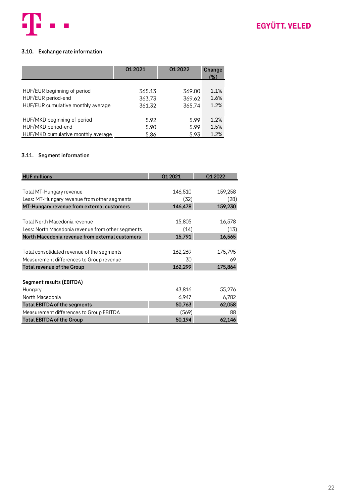

### <span id="page-21-0"></span>**3.10. Exchange rate information**

|                                    | 01 20 21 | 01 20 22 | Change<br>(%) |
|------------------------------------|----------|----------|---------------|
| HUF/EUR beginning of period        | 365.13   | 369.00   | 1.1%          |
| HUF/EUR period-end                 | 363.73   | 369.62   | 1.6%          |
| HUF/EUR cumulative monthly average | 361.32   | 365.74   | 1.2%          |
| HUF/MKD beginning of period        | 5.92     | 5.99     | 1.2%          |
| HUF/MKD period-end                 | 5.90     | 5.99     | 1.5%          |
| HUF/MKD cumulative monthly average | 5.86     | 5.93     | 1.2%          |

### <span id="page-21-1"></span>**3.11. Segment information**

| <b>HUF millions</b>                               | Q1 2021 | Q1 2022 |
|---------------------------------------------------|---------|---------|
|                                                   |         |         |
| Total MT-Hungary revenue                          | 146,510 | 159,258 |
| Less: MT-Hungary revenue from other segments      | (32)    | (28)    |
| MT-Hungary revenue from external customers        | 146,478 | 159,230 |
|                                                   |         |         |
| Total North Macedonia revenue                     | 15,805  | 16,578  |
| Less: North Macedonia revenue from other segments | (14)    | (13)    |
| North Macedonia revenue from external customers   | 15,791  | 16,565  |
|                                                   |         |         |
| Total consolidated revenue of the segments        | 162,269 | 175,795 |
| Measurement differences to Group revenue          | 30      | 69      |
| <b>Total revenue of the Group</b>                 | 162,299 | 175,864 |
|                                                   |         |         |
| Segment results (EBITDA)                          |         |         |
| Hungary                                           | 43,816  | 55,276  |
| North Macedonia                                   | 6,947   | 6,782   |
| <b>Total EBITDA of the segments</b>               | 50,763  | 62,058  |
| Measurement differences to Group EBITDA           | (569)   | 88      |
| <b>Total EBITDA of the Group</b>                  | 50,194  | 62,146  |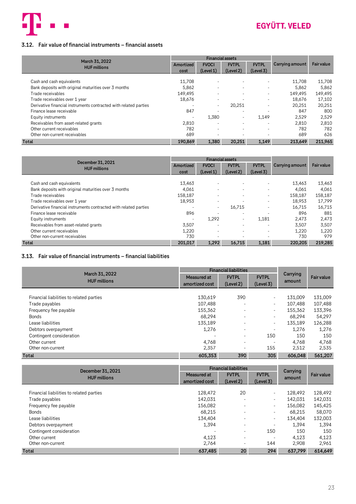

### <span id="page-22-0"></span>**3.12. Fair value of financial instruments – financial assets**

|                                                                  |           | <b>Financial assets</b>  |                          |                          |                 |                   |
|------------------------------------------------------------------|-----------|--------------------------|--------------------------|--------------------------|-----------------|-------------------|
| March 31, 2022<br><b>HUF millions</b>                            | Amortized | <b>FVOCI</b>             | <b>FVTPL</b>             | <b>FVTPL</b>             | Carrying amount | <b>Fair value</b> |
|                                                                  | cost      | (Level 1)                | (Level 2)                | (Level 3)                |                 |                   |
|                                                                  |           |                          |                          |                          |                 |                   |
| Cash and cash equivalents                                        | 11.708    | $\overline{\phantom{0}}$ |                          |                          | 11.708          | 11,708            |
| Bank deposits with original maturities over 3 months             | 5,862     |                          |                          |                          | 5,862           | 5,862             |
| Trade receivables                                                | 149.495   | $\overline{\phantom{0}}$ |                          | $\overline{\phantom{a}}$ | 149.495         | 149,495           |
| Trade receivables over 1 year                                    | 18,676    | $\overline{\phantom{a}}$ |                          |                          | 18,676          | 17,102            |
| Derivative financial instruments contracted with related parties |           | $\overline{\phantom{a}}$ | 20,251                   |                          | 20,251          | 20,251            |
| Finance lease receivable                                         | 847       |                          |                          |                          | 847             | 800               |
| Equity instruments                                               |           | 1,380                    | $\overline{\phantom{a}}$ | 1.149                    | 2,529           | 2,529             |
| Receivables from asset-related grants                            | 2,810     | $\overline{\phantom{a}}$ |                          |                          | 2,810           | 2,810             |
| Other current receivables                                        | 782       | $\overline{\phantom{a}}$ |                          | $\overline{\phantom{a}}$ | 782             | 782               |
| Other non-current receivables                                    | 689       |                          |                          |                          | 689             | 626               |
| <b>Total</b>                                                     | 190,869   | 1.380                    | 20.251                   | 1,149                    | 213.649         | 211,965           |

|                                                                  |           | <b>Financial assets</b>  |                          |                          |                 |                   |
|------------------------------------------------------------------|-----------|--------------------------|--------------------------|--------------------------|-----------------|-------------------|
| December 31, 2021<br><b>HUF millions</b>                         | Amortized | <b>FVOCI</b>             | <b>FVTPL</b>             | <b>FVTPL</b>             | Carrying amount | <b>Fair value</b> |
|                                                                  | cost      | (Level 1)                | (Level 2)                | (Level 3)                |                 |                   |
|                                                                  |           |                          |                          |                          |                 |                   |
| Cash and cash equivalents                                        | 13,463    | $\overline{\phantom{a}}$ |                          | $\overline{\phantom{a}}$ | 13,463          | 13,463            |
| Bank deposits with original maturities over 3 months             | 4.061     |                          | $\overline{\phantom{0}}$ | $\overline{\phantom{a}}$ | 4.061           | 4,061             |
| Trade receivables                                                | 158,187   |                          |                          | $\overline{\phantom{a}}$ | 158,187         | 158,187           |
| Trade receivables over 1 year                                    | 18,953    | $\overline{\phantom{a}}$ |                          |                          | 18.953          | 17,799            |
| Derivative financial instruments contracted with related parties |           | $\overline{\phantom{a}}$ | 16,715                   |                          | 16.715          | 16,715            |
| Finance lease receivable                                         | 896       |                          | $\overline{\phantom{0}}$ |                          | 896             | 881               |
| Equity instruments                                               |           | 1.292                    | $\overline{\phantom{a}}$ | 1,181                    | 2,473           | 2,473             |
| Receivables from asset-related grants                            | 3,507     |                          |                          |                          | 3,507           | 3,507             |
| Other current receivables                                        | 1,220     | $\overline{\phantom{0}}$ | $\overline{\phantom{0}}$ | $\overline{\phantom{a}}$ | 1,220           | 1,220             |
| Other non-current receivables                                    | 730       |                          |                          |                          | 730             | 979               |
| <b>Total</b>                                                     | 201.017   | 1.292                    | 16.715                   | 1.181                    | 220,205         | 219,285           |

### <span id="page-22-1"></span>**3.13. Fair value of financial instruments – financial liabilities**

|                                          |                               | <b>Financial liabilities</b> |                           |                    |                   |
|------------------------------------------|-------------------------------|------------------------------|---------------------------|--------------------|-------------------|
| March 31, 2022<br><b>HUF millions</b>    | Measured at<br>amortized cost | <b>FVTPL</b><br>(Level 2)    | <b>FVTPL</b><br>(Level 3) | Carrying<br>amount | <b>Fair value</b> |
| Financial liabilities to related parties | 130,619                       | 390                          | $\sim$                    | 131,009            | 131,009           |
| Trade payables                           | 107,488                       | ۰                            | $\sim$                    | 107.488            | 107,488           |
| Frequency fee payable                    | 155,362                       | ۰                            | $\sim$                    | 155,362            | 133,396           |
| <b>Bonds</b>                             | 68.294                        | ٠                            | ٠                         | 68.294             | 54,297            |
| Lease liabilities                        | 135,189                       | ٠                            | $\sim$                    | 135,189            | 126,288           |
| Debtors overpayment                      | 1,276                         | ٠                            | ٠                         | 1.276              | 1,276             |
| Contingent consideration                 |                               | ٠                            | 150                       | 150                | 150               |
| Other current                            | 4,768                         | ۰                            | ٠                         | 4.768              | 4,768             |
| Other non-current                        | 2,357                         | ٠                            | 155                       | 2,512              | 2,535             |
| <b>Total</b>                             | 605,353                       | 390                          | 305                       | 606.048            | 561,207           |

| December 31, 2021                        | <b>Financial liabilities</b> |              |                          | Carrying |                   |  |
|------------------------------------------|------------------------------|--------------|--------------------------|----------|-------------------|--|
| <b>HUF millions</b>                      | Measured at                  | <b>FVTPL</b> | <b>FVTPL</b>             | amount   | <b>Fair value</b> |  |
|                                          | amortized cost               | (Level 2)    | (Level 3)                |          |                   |  |
|                                          |                              |              |                          |          |                   |  |
| Financial liabilities to related parties | 128,472                      | 20           | ٠                        | 128,492  | 128,492           |  |
| Trade payables                           | 142.031                      | ۰            | ٠                        | 142,031  | 142,031           |  |
| Frequency fee payable                    | 156,082                      | ٠            | ٠                        | 156,082  | 145,425           |  |
| <b>Bonds</b>                             | 68.215                       | ٠            | ٠                        | 68.215   | 58,070            |  |
| Lease liabilities                        | 134,404                      | ٠            | ٠                        | 134,404  | 132,003           |  |
| Debtors overpayment                      | 1,394                        | ۰            | $\overline{\phantom{a}}$ | 1.394    | 1,394             |  |
| Contingent consideration                 |                              | ۰            | 150                      | 150      | 150               |  |
| Other current                            | 4,123                        | ۰            | $\overline{\phantom{a}}$ | 4.123    | 4,123             |  |
| Other non-current                        | 2,764                        | ۰            | 144                      | 2.908    | 2,961             |  |
| <b>Total</b>                             | 637,485                      | 20           | 294                      | 637.799  | 614.649           |  |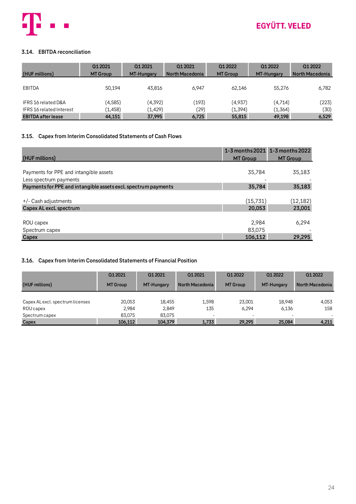

## <span id="page-23-0"></span>**3.14. EBITDA reconciliation**

| (HUF millions)                  | 01 20 21        | 01 20 21          | 01 20 21        | 01 20 22        | 01 20 22   | 01 2022         |
|---------------------------------|-----------------|-------------------|-----------------|-----------------|------------|-----------------|
|                                 | <b>MT Group</b> | <b>MT-Hungary</b> | North Macedonia | <b>MT Group</b> | MT-Hungary | North Macedonia |
| EBITDA                          | 50.194          | 43.816            | 6.947           | 62.146          | 55.276     | 6,782           |
| IFRS 16 related D&A             | (4, 585)        | (4, 392)          | (193)           | (4,937)         | (4,714)    | (223)           |
| <b>IFRS 16 related Interest</b> | (1,458)         | (1,429)           | (29)            | (1,394)         | (1,364)    | (30)            |
| <b>EBITDA after lease</b>       | 44,151          | 37,995            | 6,725           | 55,815          | 49,198     | 6,529           |

### <span id="page-23-1"></span>**3.15. Capex from Interim Consolidated Statements of Cash Flows**

| (HUF millions)                                                                           | <b>MT Group</b> | 1-3 months 2021 1-3 months 2022<br><b>MT Group</b> |
|------------------------------------------------------------------------------------------|-----------------|----------------------------------------------------|
| Payments for PPE and intangible assets                                                   | 35,784          | 35,183                                             |
| Less spectrum payments<br>Payments for PPE and intangible assets excl. spectrum payments | 35,784          | 35,183                                             |
| $+/-$ Cash adjustments                                                                   | (15,731)        | (12, 182)                                          |
| Capex AL excl. spectrum                                                                  | 20,053          | 23,001                                             |
| ROU capex<br>Spectrum capex                                                              | 2,984<br>83,075 | 6,294                                              |
| Capex                                                                                    | 106,112         | 29,295                                             |

### <span id="page-23-2"></span>**3.16. Capex from Interim Consolidated Statements of Financial Position**

|                                  | 01 20 21        | 01 2021           | 01 20 21        | 01 20 22        | 01 20 22   | 01 20 22                 |
|----------------------------------|-----------------|-------------------|-----------------|-----------------|------------|--------------------------|
| (HUF millions)                   | <b>MT Group</b> | <b>MT-Hungary</b> | North Macedonia | <b>MT Group</b> | MT-Hungary | North Macedonia          |
|                                  |                 |                   |                 |                 |            |                          |
| Capex AL excl. spectrum licenses | 20.053          | 18,455            | 1.598           | 23.001          | 18.948     | 4,053                    |
| ROU capex                        | 2.984           | 2.849             | 135             | 6.294           | 6.136      | 158                      |
| Spectrum capex                   | 83.075          | 83,075            |                 | -               |            | $\overline{\phantom{a}}$ |
| Capex                            | 106.112         | 104.379           | 1.733           | 29.295          | 25,084     | 4.211                    |